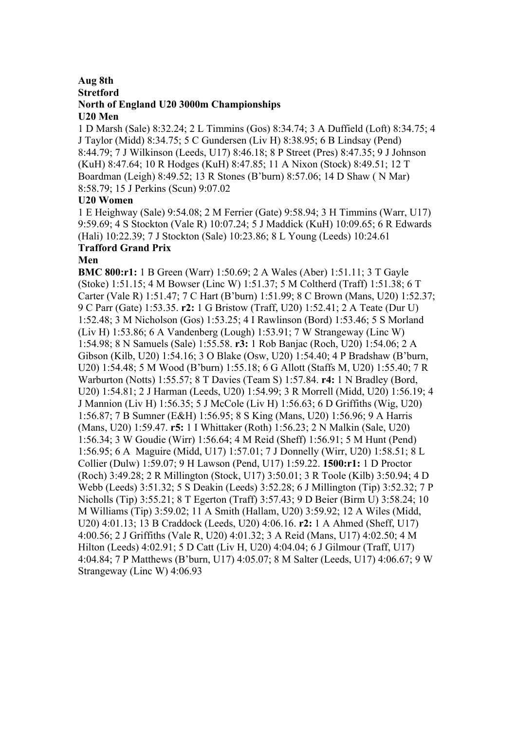# **Aug 8th Stretford North of England U20 3000m Championships**

#### **U20 Men**

1 D Marsh (Sale) 8:32.24; 2 L Timmins (Gos) 8:34.74; 3 A Duffield (Loft) 8:34.75; 4 J Taylor (Midd) 8:34.75; 5 C Gundersen (Liv H) 8:38.95; 6 B Lindsay (Pend) 8:44.79; 7 J Wilkinson (Leeds, U17) 8:46.18; 8 P Street (Pres) 8:47.35; 9 J Johnson (KuH) 8:47.64; 10 R Hodges (KuH) 8:47.85; 11 A Nixon (Stock) 8:49.51; 12 T Boardman (Leigh) 8:49.52; 13 R Stones (B'burn) 8:57.06; 14 D Shaw ( N Mar) 8:58.79; 15 J Perkins (Scun) 9:07.02

## **U20 Women**

1 E Heighway (Sale) 9:54.08; 2 M Ferrier (Gate) 9:58.94; 3 H Timmins (Warr, U17) 9:59.69; 4 S Stockton (Vale R) 10:07.24; 5 J Maddick (KuH) 10:09.65; 6 R Edwards (Hali) 10:22.39; 7 J Stockton (Sale) 10:23.86; 8 L Young (Leeds) 10:24.61 **Trafford Grand Prix**

#### **Men**

**BMC 800:r1:** 1 B Green (Warr) 1:50.69; 2 A Wales (Aber) 1:51.11; 3 T Gayle (Stoke) 1:51.15; 4 M Bowser (Linc W) 1:51.37; 5 M Coltherd (Traff) 1:51.38; 6 T Carter (Vale R) 1:51.47; 7 C Hart (B'burn) 1:51.99; 8 C Brown (Mans, U20) 1:52.37; 9 C Parr (Gate) 1:53.35. **r2:** 1 G Bristow (Traff, U20) 1:52.41; 2 A Teate (Dur U) 1:52.48; 3 M Nicholson (Gos) 1:53.25; 4 I Rawlinson (Bord) 1:53.46; 5 S Morland (Liv H) 1:53.86; 6 A Vandenberg (Lough) 1:53.91; 7 W Strangeway (Linc W) 1:54.98; 8 N Samuels (Sale) 1:55.58. **r3:** 1 Rob Banjac (Roch, U20) 1:54.06; 2 A Gibson (Kilb, U20) 1:54.16; 3 O Blake (Osw, U20) 1:54.40; 4 P Bradshaw (B'burn, U20) 1:54.48; 5 M Wood (B'burn) 1:55.18; 6 G Allott (Staffs M, U20) 1:55.40; 7 R Warburton (Notts) 1:55.57; 8 T Davies (Team S) 1:57.84. **r4:** 1 N Bradley (Bord, U20) 1:54.81; 2 J Harman (Leeds, U20) 1:54.99; 3 R Morrell (Midd, U20) 1:56.19; 4 J Mannion (Liv H) 1:56.35; 5 J McCole (Liv H) 1:56.63; 6 D Griffiths (Wig, U20) 1:56.87; 7 B Sumner (E&H) 1:56.95; 8 S King (Mans, U20) 1:56.96; 9 A Harris (Mans, U20) 1:59.47. **r5:** 1 I Whittaker (Roth) 1:56.23; 2 N Malkin (Sale, U20) 1:56.34; 3 W Goudie (Wirr) 1:56.64; 4 M Reid (Sheff) 1:56.91; 5 M Hunt (Pend) 1:56.95; 6 A Maguire (Midd, U17) 1:57.01; 7 J Donnelly (Wirr, U20) 1:58.51; 8 L Collier (Dulw) 1:59.07; 9 H Lawson (Pend, U17) 1:59.22. **1500:r1:** 1 D Proctor (Roch) 3:49.28; 2 R Millington (Stock, U17) 3:50.01; 3 R Toole (Kilb) 3:50.94; 4 D Webb (Leeds) 3:51.32; 5 S Deakin (Leeds) 3:52.28; 6 J Millington (Tip) 3:52.32; 7 P Nicholls (Tip) 3:55.21; 8 T Egerton (Traff) 3:57.43; 9 D Beier (Birm U) 3:58.24; 10 M Williams (Tip) 3:59.02; 11 A Smith (Hallam, U20) 3:59.92; 12 A Wiles (Midd, U20) 4:01.13; 13 B Craddock (Leeds, U20) 4:06.16. **r2:** 1 A Ahmed (Sheff, U17) 4:00.56; 2 J Griffiths (Vale R, U20) 4:01.32; 3 A Reid (Mans, U17) 4:02.50; 4 M Hilton (Leeds) 4:02.91; 5 D Catt (Liv H, U20) 4:04.04; 6 J Gilmour (Traff, U17) 4:04.84; 7 P Matthews (B'burn, U17) 4:05.07; 8 M Salter (Leeds, U17) 4:06.67; 9 W Strangeway (Linc W) 4:06.93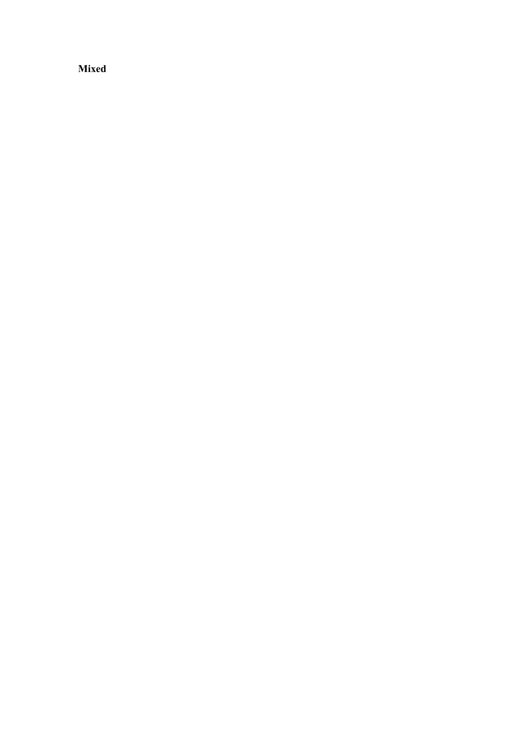**Mixed**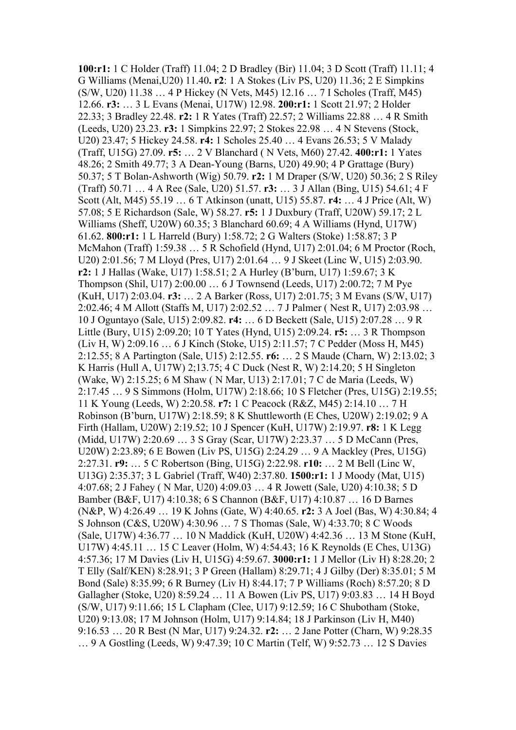**100:r1:** 1 C Holder (Traff) 11.04; 2 D Bradley (Bir) 11.04; 3 D Scott (Traff) 11.11; 4 G Williams (Menai,U20) 11.40**. r2**: 1 A Stokes (Liv PS, U20) 11.36; 2 E Simpkins (S/W, U20) 11.38 … 4 P Hickey (N Vets, M45) 12.16 … 7 I Scholes (Traff, M45) 12.66. **r3:** … 3 L Evans (Menai, U17W) 12.98. **200:r1:** 1 Scott 21.97; 2 Holder 22.33; 3 Bradley 22.48. **r2:** 1 R Yates (Traff) 22.57; 2 Williams 22.88 … 4 R Smith (Leeds, U20) 23.23. **r3:** 1 Simpkins 22.97; 2 Stokes 22.98 … 4 N Stevens (Stock, U20) 23.47; 5 Hickey 24.58. **r4:** 1 Scholes 25.40 … 4 Evans 26.53; 5 V Malady (Traff, U15G) 27.09. **r5:** … 2 V Blanchard ( N Vets, M60) 27.42. **400:r1:** 1 Yates 48.26; 2 Smith 49.77; 3 A Dean-Young (Barns, U20) 49.90; 4 P Grattage (Bury) 50.37; 5 T Bolan-Ashworth (Wig) 50.79. **r2:** 1 M Draper (S/W, U20) 50.36; 2 S Riley (Traff) 50.71 … 4 A Ree (Sale, U20) 51.57. **r3:** … 3 J Allan (Bing, U15) 54.61; 4 F Scott (Alt, M45) 55.19 … 6 T Atkinson (unatt, U15) 55.87. **r4:** … 4 J Price (Alt, W) 57.08; 5 E Richardson (Sale, W) 58.27. **r5:** 1 J Duxbury (Traff, U20W) 59.17; 2 L Williams (Sheff, U20W) 60.35; 3 Blanchard 60.69; 4 A Williams (Hynd, U17W) 61.62. **800:r1:** 1 L Harreld (Bury) 1:58.72; 2 G Walters (Stoke) 1:58.87; 3 P McMahon (Traff) 1:59.38 … 5 R Schofield (Hynd, U17) 2:01.04; 6 M Proctor (Roch, U20) 2:01.56; 7 M Lloyd (Pres, U17) 2:01.64 … 9 J Skeet (Linc W, U15) 2:03.90. **r2:** 1 J Hallas (Wake, U17) 1:58.51; 2 A Hurley (B'burn, U17) 1:59.67; 3 K Thompson (Shil, U17) 2:00.00 … 6 J Townsend (Leeds, U17) 2:00.72; 7 M Pye (KuH, U17) 2:03.04. **r3:** … 2 A Barker (Ross, U17) 2:01.75; 3 M Evans (S/W, U17) 2:02.46; 4 M Allott (Staffs M, U17) 2:02.52 … 7 J Palmer ( Nest R, U17) 2:03.98 … 10 J Oguntayo (Sale, U15) 2:09.82. **r4:** … 6 D Beckett (Sale, U15) 2:07.28 … 9 R Little (Bury, U15) 2:09.20; 10 T Yates (Hynd, U15) 2:09.24. **r5:** … 3 R Thompson (Liv H, W) 2:09.16 … 6 J Kinch (Stoke, U15) 2:11.57; 7 C Pedder (Moss H, M45) 2:12.55; 8 A Partington (Sale, U15) 2:12.55. **r6:** … 2 S Maude (Charn, W) 2:13.02; 3 K Harris (Hull A, U17W) 2;13.75; 4 C Duck (Nest R, W) 2:14.20; 5 H Singleton (Wake, W) 2:15.25; 6 M Shaw ( N Mar, U13) 2:17.01; 7 C de Maria (Leeds, W) 2:17.45 … 9 S Simmons (Holm, U17W) 2:18.66; 10 S Fletcher (Pres, U15G) 2:19.55; 11 K Young (Leeds, W) 2:20.58. **r7:** 1 C Peacock (R&Z, M45) 2:14.10 … 7 H Robinson (B'burn, U17W) 2:18.59; 8 K Shuttleworth (E Ches, U20W) 2:19.02; 9 A Firth (Hallam, U20W) 2:19.52; 10 J Spencer (KuH, U17W) 2:19.97. **r8:** 1 K Legg (Midd, U17W) 2:20.69 … 3 S Gray (Scar, U17W) 2:23.37 … 5 D McCann (Pres, U20W) 2:23.89; 6 E Bowen (Liv PS, U15G) 2:24.29 … 9 A Mackley (Pres, U15G) 2:27.31. **r9:** … 5 C Robertson (Bing, U15G) 2:22.98. **r10:** … 2 M Bell (Linc W, U13G) 2:35.37; 3 L Gabriel (Traff, W40) 2:37.80. **1500:r1:** 1 J Moody (Mat, U15) 4:07.68; 2 J Fahey ( N Mar, U20) 4:09.03 … 4 R Jowett (Sale, U20) 4:10.38; 5 D Bamber (B&F, U17) 4:10.38; 6 S Channon (B&F, U17) 4:10.87 … 16 D Barnes (N&P, W) 4:26.49 … 19 K Johns (Gate, W) 4:40.65. **r2:** 3 A Joel (Bas, W) 4:30.84; 4 S Johnson (C&S, U20W) 4:30.96 … 7 S Thomas (Sale, W) 4:33.70; 8 C Woods (Sale, U17W) 4:36.77 … 10 N Maddick (KuH, U20W) 4:42.36 … 13 M Stone (KuH, U17W) 4:45.11 … 15 C Leaver (Holm, W) 4:54.43; 16 K Reynolds (E Ches, U13G) 4:57.36; 17 M Davies (Liv H, U15G) 4:59.67. **3000:r1:** 1 J Mellor (Liv H) 8:28.20; 2 T Elly (Salf/KEN) 8:28.91; 3 P Green (Hallam) 8:29.71; 4 J Gilby (Der) 8:35.01; 5 M Bond (Sale) 8:35.99; 6 R Burney (Liv H) 8:44.17; 7 P Williams (Roch) 8:57.20; 8 D Gallagher (Stoke, U20) 8:59.24 … 11 A Bowen (Liv PS, U17) 9:03.83 … 14 H Boyd (S/W, U17) 9:11.66; 15 L Clapham (Clee, U17) 9:12.59; 16 C Shubotham (Stoke, U20) 9:13.08; 17 M Johnson (Holm, U17) 9:14.84; 18 J Parkinson (Liv H, M40) 9:16.53 … 20 R Best (N Mar, U17) 9:24.32. **r2:** … 2 Jane Potter (Charn, W) 9:28.35 … 9 A Gostling (Leeds, W) 9:47.39; 10 C Martin (Telf, W) 9:52.73 … 12 S Davies